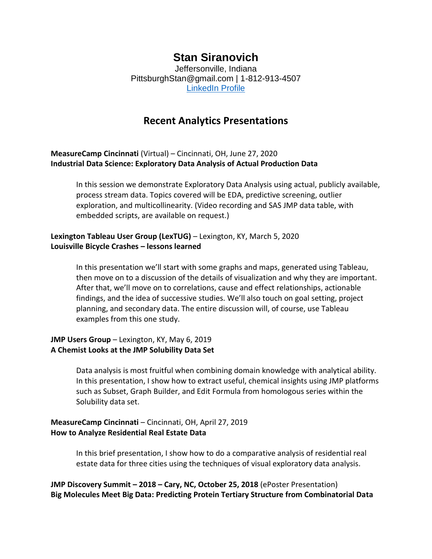# **Stan Siranovich**

Jeffersonville, Indiana PittsburghStan@gmail.com | 1-812-913-4507 [LinkedIn Profile](https://www.linkedin.com/in/stansiranovich)

## **Recent Analytics Presentations**

**MeasureCamp Cincinnati** (Virtual) – Cincinnati, OH, June 27, 2020 **Industrial Data Science: Exploratory Data Analysis of Actual Production Data**

In this session we demonstrate Exploratory Data Analysis using actual, publicly available, process stream data. Topics covered will be EDA, predictive screening, outlier exploration, and multicollinearity. (Video recording and SAS JMP data table, with embedded scripts, are available on request.)

### **Lexington Tableau User Group (LexTUG)** – Lexington, KY, March 5, 2020 **Louisville Bicycle Crashes – lessons learned**

In this presentation we'll start with some graphs and maps, generated using Tableau, then move on to a discussion of the details of visualization and why they are important. After that, we'll move on to correlations, cause and effect relationships, actionable findings, and the idea of successive studies. We'll also touch on goal setting, project planning, and secondary data. The entire discussion will, of course, use Tableau examples from this one study.

#### **JMP Users Group** – Lexington, KY, May 6, 2019 **A Chemist Looks at the JMP Solubility Data Set**

Data analysis is most fruitful when combining domain knowledge with analytical ability. In this presentation, I show how to extract useful, chemical insights using JMP platforms such as Subset, Graph Builder, and Edit Formula from homologous series within the Solubility data set.

#### **MeasureCamp Cincinnati** – Cincinnati, OH, April 27, 2019 **How to Analyze Residential Real Estate Data**

In this brief presentation, I show how to do a comparative analysis of residential real estate data for three cities using the techniques of visual exploratory data analysis.

**JMP Discovery Summit – 2018 – Cary, NC, October 25, 2018** (ePoster Presentation) **Big Molecules Meet Big Data: Predicting Protein Tertiary Structure from Combinatorial Data**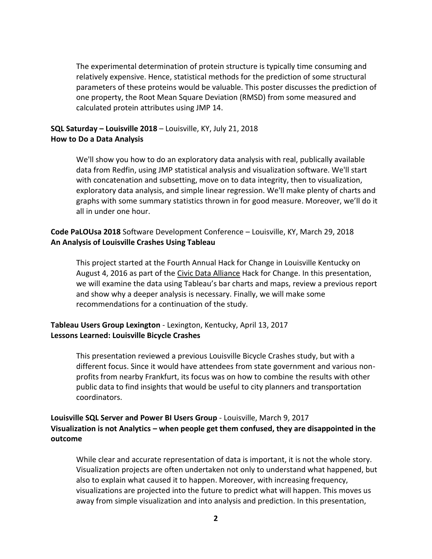The experimental determination of protein structure is typically time consuming and relatively expensive. Hence, statistical methods for the prediction of some structural parameters of these proteins would be valuable. This poster discusses the prediction of one property, the Root Mean Square Deviation (RMSD) from some measured and calculated protein attributes using JMP 14.

### **SQL Saturday – Louisville 2018** – Louisville, KY, July 21, 2018 **How to Do a Data Analysis**

We'll show you how to do an exploratory data analysis with real, publically available data from Redfin, using JMP statistical analysis and visualization software. We'll start with concatenation and subsetting, move on to data integrity, then to visualization, exploratory data analysis, and simple linear regression. We'll make plenty of charts and graphs with some summary statistics thrown in for good measure. Moreover, we'll do it all in under one hour.

## **Code PaLOUsa 2018** Software Development Conference – Louisville, KY, March 29, 2018 **An Analysis of Louisville Crashes Using Tableau**

This project started at the Fourth Annual Hack for Change in Louisville Kentucky on August 4, 2016 as part of the Civic Data Alliance Hack for Change. In this presentation, we will examine the data using Tableau's bar charts and maps, review a previous report and show why a deeper analysis is necessary. Finally, we will make some recommendations for a continuation of the study.

## **Tableau Users Group Lexington** - Lexington, Kentucky, April 13, 2017 **Lessons Learned: Louisville Bicycle Crashes**

This presentation reviewed a previous Louisville Bicycle Crashes study, but with a different focus. Since it would have attendees from state government and various nonprofits from nearby Frankfurt, its focus was on how to combine the results with other public data to find insights that would be useful to city planners and transportation coordinators.

## **Louisville SQL Server and Power BI Users Group** - Louisville, March 9, 2017 **Visualization is not Analytics – when people get them confused, they are disappointed in the outcome**

While clear and accurate representation of data is important, it is not the whole story. Visualization projects are often undertaken not only to understand what happened, but also to explain what caused it to happen. Moreover, with increasing frequency, visualizations are projected into the future to predict what will happen. This moves us away from simple visualization and into analysis and prediction. In this presentation,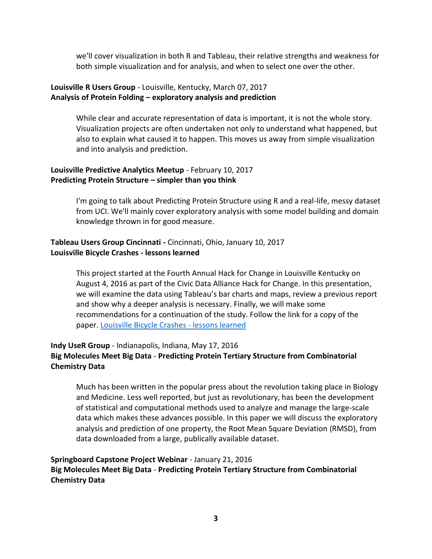we'll cover visualization in both R and Tableau, their relative strengths and weakness for both simple visualization and for analysis, and when to select one over the other.

#### **Louisville R Users Group** - Louisville, Kentucky, March 07, 2017 **Analysis of Protein Folding – exploratory analysis and prediction**

While clear and accurate representation of data is important, it is not the whole story. Visualization projects are often undertaken not only to understand what happened, but also to explain what caused it to happen. This moves us away from simple visualization and into analysis and prediction.

### **Louisville Predictive Analytics Meetup** - February 10, 2017 **Predicting Protein Structure – simpler than you think**

I'm going to talk about Predicting Protein Structure using R and a real-life, messy dataset from UCI. We'll mainly cover exploratory analysis with some model building and domain knowledge thrown in for good measure.

### **Tableau Users Group Cincinnati -** Cincinnati, Ohio, January 10, 2017 **Louisville Bicycle Crashes - lessons learned**

This project started at the Fourth Annual Hack for Change in Louisville Kentucky on August 4, 2016 as part of the Civic Data Alliance Hack for Change. In this presentation, we will examine the data using Tableau's bar charts and maps, review a previous report and show why a deeper analysis is necessary. Finally, we will make some recommendations for a continuation of the study. Follow the link for a copy of the paper. [Louisville Bicycle Crashes -](https://www.linkedin.com/pulse/louisville-bicycle-crashes-lessons-learned-stan-siranovich) lessons learned

## **Indy UseR Group** - Indianapolis, Indiana, May 17, 2016 **Big Molecules Meet Big Data** - **Predicting Protein Tertiary Structure from Combinatorial Chemistry Data**

Much has been written in the popular press about the revolution taking place in Biology and Medicine. Less well reported, but just as revolutionary, has been the development of statistical and computational methods used to analyze and manage the large-scale data which makes these advances possible. In this paper we will discuss the exploratory analysis and prediction of one property, the Root Mean Square Deviation (RMSD), from data downloaded from a large, publically available dataset.

#### **Springboard Capstone Project Webinar** - January 21, 2016 **Big Molecules Meet Big Data** - **Predicting Protein Tertiary Structure from Combinatorial Chemistry Data**